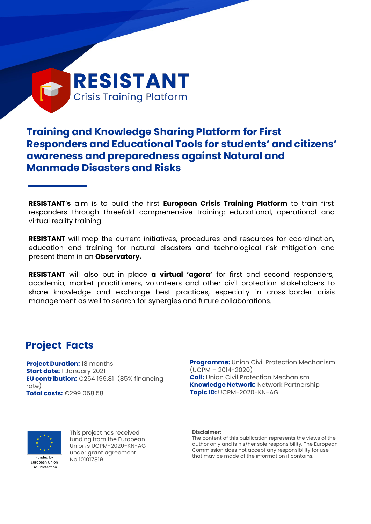

# **Training and Knowledge Sharing Platform for First Responders and Educational Tools for students' and citizens' awareness and preparedness against Natural and Manmade Disasters and Risks**

**RESISTANT**'**s** aim is to build the first **European Crisis Training Platform** to train first responders through threefold comprehensive training: educational, operational and virtual reality training.

**RESISTANT** will map the current initiatives, procedures and resources for coordination, education and training for natural disasters and technological risk mitigation and present them in an **Observatory.**

**RESISTANT** will also put in place **a virtual 'agora'** for first and second responders, academia, market practitioners, volunteers and other civil protection stakeholders to share knowledge and exchange best practices, especially in cross-border crisis management as well to search for synergies and future collaborations.

## **Project Facts**

**Project Duration:** 18 months **Start date:** 1 January 2021 **EU contribution:** €254 199.81 (85% financing rate) **Total costs:** €299 058.58

**Programme:** Union Civil Protection Mechanism (UCPM – 2014-2020) **Call:** Union Civil Protection Mechanism **Knowledge Network:** Network Partnership **Topic ID:** UCPM-2020-KN-AG



Civil Protection

This project has received funding from the European Union´s UCPM-2020-KN-AG under grant agreement No 101017819

**Disclaimer:**

The content of this publication represents the views of the author only and is his/her sole responsibility. The European Commission does not accept any responsibility for use that may be made of the information it contains.